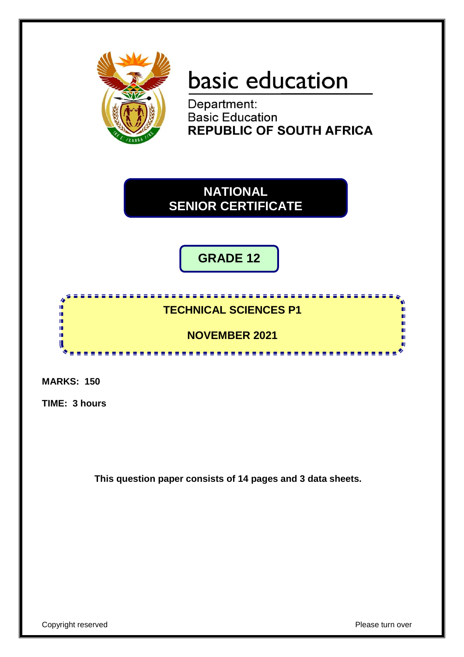

# basic education

Department: **Basic Education REPUBLIC OF SOUTH AFRICA** 

**NATIONAL SENIOR CERTIFICATE**

**GRADE 12**

# **TECHNICAL SCIENCES P1**

<u>. . . . . . . . . . . . . . . . . . .</u>

**NOVEMBER 2021**

-----------

**MARKS: 150**

IĖ, Ĩ, 10 n, **II** 

**TIME: 3 hours**

**This question paper consists of 14 pages and 3 data sheets.**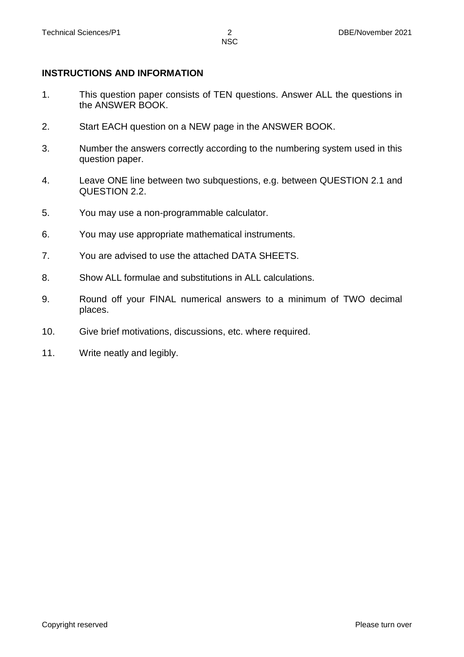### **INSTRUCTIONS AND INFORMATION**

- 1. This question paper consists of TEN questions. Answer ALL the questions in the ANSWER BOOK.
- 2. Start EACH question on a NEW page in the ANSWER BOOK.
- 3. Number the answers correctly according to the numbering system used in this question paper.
- 4. Leave ONE line between two subquestions, e.g. between QUESTION 2.1 and QUESTION 2.2.
- 5. You may use a non-programmable calculator.
- 6. You may use appropriate mathematical instruments.
- 7. You are advised to use the attached DATA SHEETS.
- 8. Show ALL formulae and substitutions in ALL calculations.
- 9. Round off your FINAL numerical answers to a minimum of TWO decimal places.
- 10. Give brief motivations, discussions, etc. where required.
- 11. Write neatly and legibly.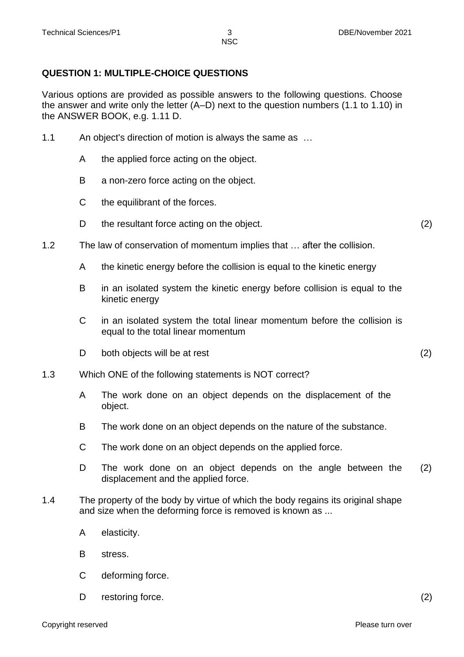## **QUESTION 1: MULTIPLE-CHOICE QUESTIONS**

Various options are provided as possible answers to the following questions. Choose the answer and write only the letter (A–D) next to the question numbers (1.1 to 1.10) in the ANSWER BOOK, e.g. 1.11 D.

- 1.1 An object's direction of motion is always the same as …
	- A the applied force acting on the object.
	- B a non-zero force acting on the object.
	- C the equilibrant of the forces.
	- D the resultant force acting on the object. (2)
- 1.2 The law of conservation of momentum implies that … after the collision.
	- A the kinetic energy before the collision is equal to the kinetic energy
	- B in an isolated system the kinetic energy before collision is equal to the kinetic energy
	- C in an isolated system the total linear momentum before the collision is equal to the total linear momentum
	- D both objects will be at rest (2)
- 1.3 Which ONE of the following statements is NOT correct?
	- A The work done on an object depends on the displacement of the object.
	- B The work done on an object depends on the nature of the substance.
	- C The work done on an object depends on the applied force.
	- D The work done on an object depends on the angle between the displacement and the applied force. (2)
- 1.4 The property of the body by virtue of which the body regains its original shape and size when the deforming force is removed is known as ...
	- A elasticity.
	- B stress.
	- C deforming force.
	- D restoring force. (2)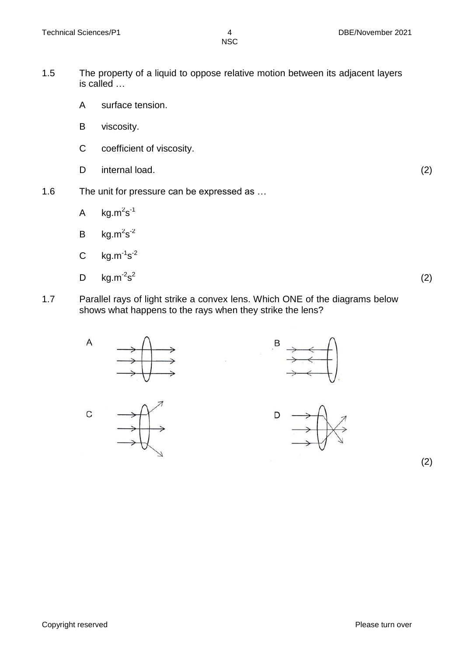- 1.5 The property of a liquid to oppose relative motion between its adjacent layers is called …
	- A surface tension.
	- B viscosity.
	- C coefficient of viscosity.
	- D internal load. (2)
- 1.6 The unit for pressure can be expressed as …
	- A kg.m ${}^{2}$ s ${}^{1}$
	- B  $kg.m^2s^2$
	- C  $kg.m^{-1} s^{-2}$
	- D  $\text{kg.m}^2\text{s}^2$
- (2)
- 1.7 Parallel rays of light strike a convex lens. Which ONE of the diagrams below shows what happens to the rays when they strike the lens?



(2)

Copyright reserved **Please** turn over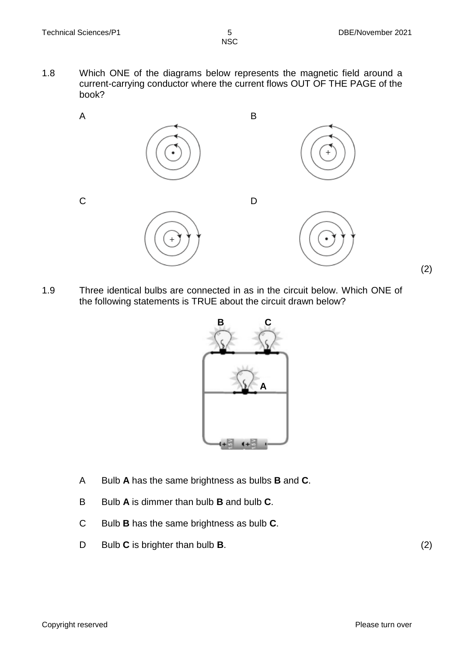1.8 Which ONE of the diagrams below represents the magnetic field around a current-carrying conductor where the current flows OUT OF THE PAGE of the book?



1.9 Three identical bulbs are connected in as in the circuit below. Which ONE of the following statements is TRUE about the circuit drawn below?



- A Bulb **A** has the same brightness as bulbs **B** and **C**.
- B Bulb **A** is dimmer than bulb **B** and bulb **C**.
- C Bulb **B** has the same brightness as bulb **C**.
- D Bulb **C** is brighter than bulb **B**. (2)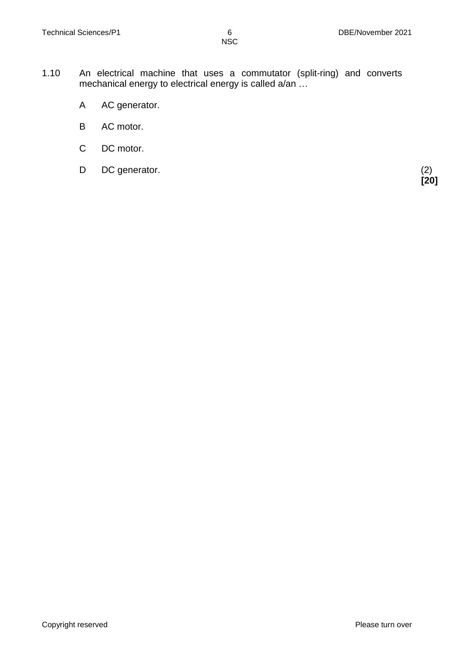- 1.10 An electrical machine that uses a commutator (split-ring) and converts mechanical energy to electrical energy is called a/an ...
	- A AC generator.
	- B AC motor.
	- C DC motor.
	- D DC generator. (2)

 **[20]**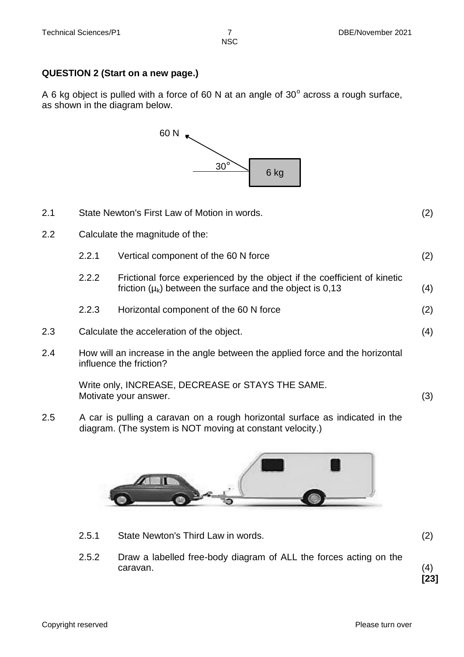### **QUESTION 2 (Start on a new page.)**

A 6 kg object is pulled with a force of 60 N at an angle of  $30^{\circ}$  across a rough surface, as shown in the diagram below.



| 2.1                                    | State Newton's First Law of Motion in words.                                                              |                                                                                                                                           | (2) |
|----------------------------------------|-----------------------------------------------------------------------------------------------------------|-------------------------------------------------------------------------------------------------------------------------------------------|-----|
| 2.2<br>Calculate the magnitude of the: |                                                                                                           |                                                                                                                                           |     |
|                                        | 2.2.1                                                                                                     | Vertical component of the 60 N force                                                                                                      | (2) |
|                                        | 2.2.2                                                                                                     | Frictional force experienced by the object if the coefficient of kinetic<br>friction $(\mu_k)$ between the surface and the object is 0,13 | (4) |
|                                        | 2.2.3                                                                                                     | Horizontal component of the 60 N force                                                                                                    | (2) |
| 2.3                                    | Calculate the acceleration of the object.                                                                 |                                                                                                                                           | (4) |
| 2.4                                    | How will an increase in the angle between the applied force and the horizontal<br>influence the friction? |                                                                                                                                           |     |
|                                        | Write only, INCREASE, DECREASE or STAYS THE SAME.<br>Motivate your answer.                                |                                                                                                                                           | (3) |

2.5 A car is pulling a caravan on a rough horizontal surface as indicated in the diagram. (The system is NOT moving at constant velocity.)



- 2.5.1 State Newton's Third Law in words. (2)
- 2.5.2 Draw a labelled free-body diagram of ALL the forces acting on the caravan. (4)

**[23]**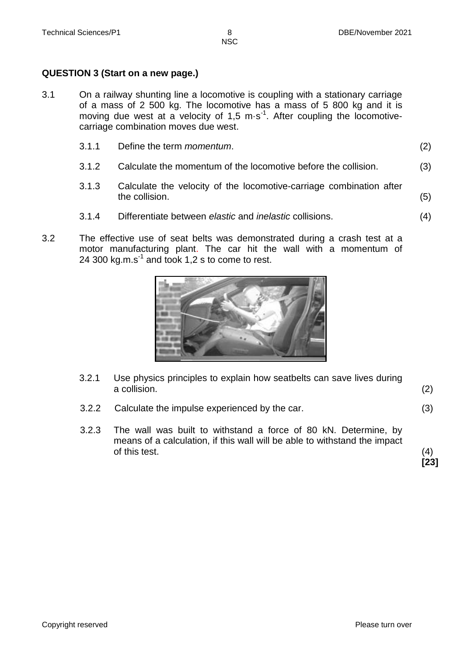### **QUESTION 3 (Start on a new page.)**

3.1 On a railway shunting line a locomotive is coupling with a stationary carriage of a mass of 2 500 kg. The locomotive has a mass of 5 800 kg and it is moving due west at a velocity of 1,5  $\text{m} \cdot \text{s}^{-1}$ . After coupling the locomotivecarriage combination moves due west.

| 3.1.1 | Define the term <i>momentum</i> . |  |
|-------|-----------------------------------|--|
|       |                                   |  |

- 3.1.2 Calculate the momentum of the locomotive before the collision. (3)
- 3.1.3 Calculate the velocity of the locomotive-carriage combination after the collision. (5)
- 3.1.4 Differentiate between *elastic* and *inelastic* collisions. (4)
- 3.2 The effective use of seat belts was demonstrated during a crash test at a motor manufacturing plant. The car hit the wall with a momentum of 24 300 kg.m.s $<sup>1</sup>$  and took 1,2 s to come to rest.</sup>



- 3.2.1 Use physics principles to explain how seatbelts can save lives during a collision. (2)
- 3.2.2 Calculate the impulse experienced by the car. (3)
- 3.2.3 The wall was built to withstand a force of 80 kN. Determine, by means of a calculation, if this wall will be able to withstand the impact  $\sigma$  this test. (4)

**[23]**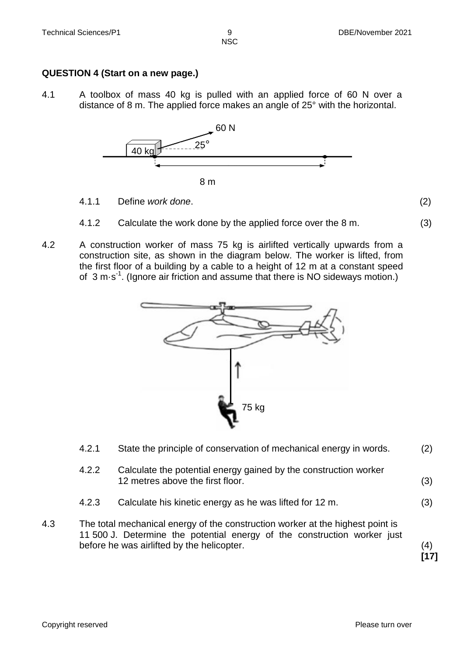### **QUESTION 4 (Start on a new page.)**

4.1 A toolbox of mass 40 kg is pulled with an applied force of 60 N over a distance of 8 m. The applied force makes an angle of 25° with the horizontal.



- 4.1.1 Define *work done*. (2)
- 4.1.2 Calculate the work done by the applied force over the 8 m. (3)
- 4.2 A construction worker of mass 75 kg is airlifted vertically upwards from a construction site, as shown in the diagram below. The worker is lifted, from the first floor of a building by a cable to a height of 12 m at a constant speed of 3 m·s<sup>-1</sup>. (Ignore air friction and assume that there is NO sideways motion.)



|     | 4.2.1 | State the principle of conservation of mechanical energy in words.                                                                                                                                       | (2) |
|-----|-------|----------------------------------------------------------------------------------------------------------------------------------------------------------------------------------------------------------|-----|
|     | 4.2.2 | Calculate the potential energy gained by the construction worker<br>12 metres above the first floor.                                                                                                     | (3) |
|     | 4.2.3 | Calculate his kinetic energy as he was lifted for 12 m.                                                                                                                                                  | (3) |
| 4.3 |       | The total mechanical energy of the construction worker at the highest point is<br>11 500 J. Determine the potential energy of the construction worker just<br>before he was airlifted by the helicopter. |     |

 **[17]**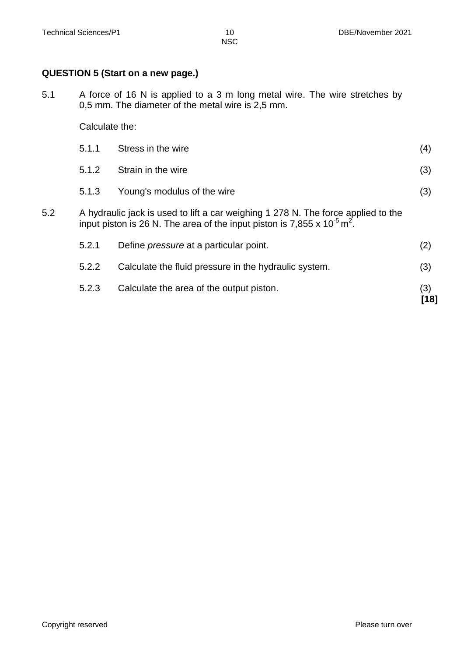### **QUESTION 5 (Start on a new page.)**

5.1 A force of 16 N is applied to a 3 m long metal wire. The wire stretches by 0,5 mm. The diameter of the metal wire is 2,5 mm.

Calculate the:

|     | 5.2.3                                                                                                                                                                         | Calculate the area of the output piston.              | (3)<br>[18] |
|-----|-------------------------------------------------------------------------------------------------------------------------------------------------------------------------------|-------------------------------------------------------|-------------|
|     | 5.2.2                                                                                                                                                                         | Calculate the fluid pressure in the hydraulic system. | (3)         |
|     | 5.2.1                                                                                                                                                                         | Define <i>pressure</i> at a particular point.         | (2)         |
| 5.2 | A hydraulic jack is used to lift a car weighing 1 278 N. The force applied to the<br>input piston is 26 N. The area of the input piston is 7,855 x $10^{-5}$ m <sup>2</sup> . |                                                       |             |
|     | 5.1.3                                                                                                                                                                         | Young's modulus of the wire                           | (3)         |
|     | 5.1.2                                                                                                                                                                         | Strain in the wire                                    | (3)         |
|     | 5.1.1                                                                                                                                                                         | Stress in the wire                                    | (4)         |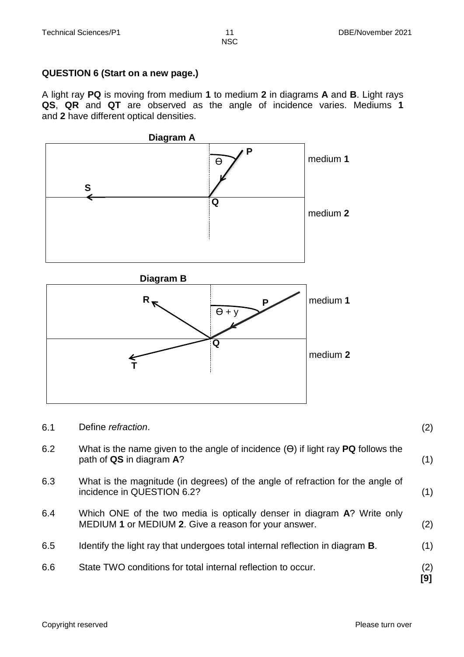### **QUESTION 6 (Start on a new page.)**

A light ray **PQ** is moving from medium **1** to medium **2** in diagrams **A** and **B**. Light rays **QS**, **QR** and **QT** are observed as the angle of incidence varies. Mediums **1** and **2** have different optical densities.



| 6.1 | Define refraction.                                                                                                              | (2)        |
|-----|---------------------------------------------------------------------------------------------------------------------------------|------------|
| 6.2 | What is the name given to the angle of incidence $(\Theta)$ if light ray <b>PQ</b> follows the<br>path of QS in diagram A?      | (1)        |
| 6.3 | What is the magnitude (in degrees) of the angle of refraction for the angle of<br>incidence in QUESTION 6.2?                    | (1)        |
| 6.4 | Which ONE of the two media is optically denser in diagram A? Write only<br>MEDIUM 1 or MEDIUM 2. Give a reason for your answer. | (2)        |
| 6.5 | Identify the light ray that undergoes total internal reflection in diagram <b>B</b> .                                           | (1)        |
| 6.6 | State TWO conditions for total internal reflection to occur.                                                                    | (2)<br>[9] |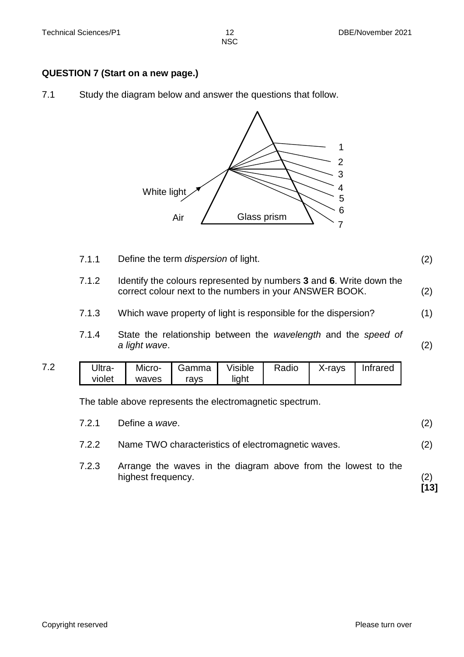### **QUESTION 7 (Start on a new page.)**

7.1 Study the diagram below and answer the questions that follow.



7.1.1 Define the term *dispersion* of light. (2) 7.1.2 Identify the colours represented by numbers **3** and **6**. Write down the correct colour next to the numbers in your ANSWER BOOK. (2) 7.1.3 Which wave property of light is responsible for the dispersion? (1) 7.1.4 State the relationship between the *wavelength* and the *speed of a light wave*. (2) 7.2 Ultraviolet Microwaves Gamma rays Visible light Radio | X-rays | Infrared The table above represents the electromagnetic spectrum. 7.2.1 Define a *wave*. (2) 7.2.2 Name TWO characteristics of electromagnetic waves. (2) 7.2.3 Arrange the waves in the diagram above from the lowest to the highest frequency. (2)  **[13]**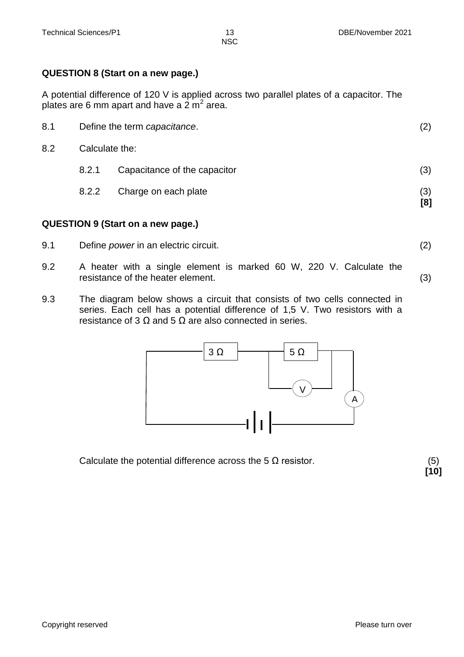### **QUESTION 8 (Start on a new page.)**

A potential difference of 120 V is applied across two parallel plates of a capacitor. The plates are 6 mm apart and have a 2 m<sup>2</sup> area.

| 8.2 |       | Calculate the:               |            |
|-----|-------|------------------------------|------------|
|     | 8.2.1 | Capacitance of the capacitor | (3)        |
|     | 8.2.2 | Charge on each plate         | (3)<br>[8] |

### **QUESTION 9 (Start on a new page.)**

- 9.1 Define *power* in an electric circuit. (2)
- 9.2 A heater with a single element is marked 60 W, 220 V. Calculate the resistance of the heater element. (3)
- 9.3 The diagram below shows a circuit that consists of two cells connected in series. Each cell has a potential difference of 1,5 V. Two resistors with a resistance of 3  $\Omega$  and 5  $\Omega$  are also connected in series.



Calculate the potential difference across the 5  $\Omega$  resistor. (5)

**[10]**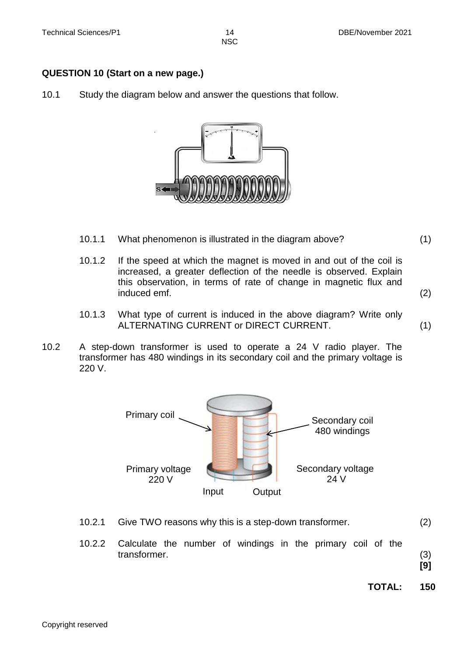### **QUESTION 10 (Start on a new page.)**

10.1 Study the diagram below and answer the questions that follow.



- 10.1.1 What phenomenon is illustrated in the diagram above? (1)
- 10.1.2 If the speed at which the magnet is moved in and out of the coil is increased, a greater deflection of the needle is observed. Explain this observation, in terms of rate of change in magnetic flux and induced emf. (2)
- 10.1.3 What type of current is induced in the above diagram? Write only ALTERNATING CURRENT or DIRECT CURRENT. (1)
- 10.2 A step-down transformer is used to operate a 24 V radio player. The transformer has 480 windings in its secondary coil and the primary voltage is 220 V.



- 10.2.1 Give TWO reasons why this is a step-down transformer. (2)
- 10.2.2 Calculate the number of windings in the primary coil of the transformer. (3)

**[9]**

**TOTAL: 150**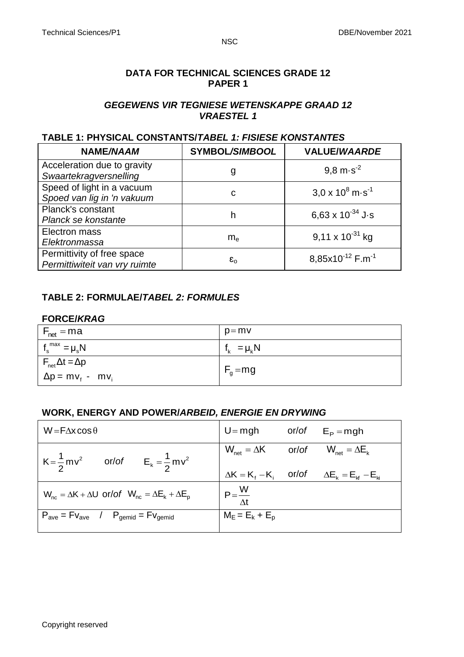### **DATA FOR TECHNICAL SCIENCES GRADE 12 PAPER 1**

### *GEGEWENS VIR TEGNIESE WETENSKAPPE GRAAD 12 VRAESTEL 1*

### **TABLE 1: PHYSICAL CONSTANTS/***TABEL 1: FISIESE KONSTANTES*

| NAME/NAAM                                                   | SYMBOL/SIMBOOL     | <b>VALUE/WAARDE</b>                |
|-------------------------------------------------------------|--------------------|------------------------------------|
| Acceleration due to gravity<br>Swaartekragversnelling       | g                  | $9.8 \text{ m} \cdot \text{s}^2$   |
| Speed of light in a vacuum<br>Spoed van lig in 'n vakuum    | С                  | $3.0 \times 10^8$ m s <sup>1</sup> |
| Planck's constant<br>Planck se konstante                    | h                  | 6,63 x $10^{-34}$ J·s              |
| Electron mass<br>Elektronmassa                              | $m_e$              | 9,11 x $10^{-31}$ kg               |
| Permittivity of free space<br>Permittiwiteit van vry ruimte | $\epsilon_{\rm o}$ | 8,85x10 $12$ F.m <sup>-1</sup>     |

### **TABLE 2: FORMULAE/***TABEL 2: FORMULES*

### **FORCE/***KRAG*

| $F_{\text{net}} = ma$                                             | $p=mv$          |
|-------------------------------------------------------------------|-----------------|
| $f_{\rm s}^{\rm max} = \mu_{\rm s} N$                             | $f_k = \mu_k N$ |
| $F_{\text{net}}\Delta t = \Delta p$<br>$\Delta p = m v_f - m v_i$ | $F_g = mg$      |

### **WORK, ENERGY AND POWER/***ARBEID, ENERGIE EN DRYWING*

| $W = F\Delta x \cos \theta$                                                 | $U = mgh$                                                       | or/of $E_{\rm p}$ = mgh                                  |
|-----------------------------------------------------------------------------|-----------------------------------------------------------------|----------------------------------------------------------|
| $K = \frac{1}{2}mv^2$ or/of $E_k = \frac{1}{2}mv^2$                         | $W_{\text{net}} = \Delta K$ or/of $W_{\text{net}} = \Delta E_k$ |                                                          |
|                                                                             |                                                                 | $\Delta K = K_f - K_i$ or/of $\Delta E_k = E_M - E_{ki}$ |
| $W_{nc} = \Delta K + \Delta U$ or/of $W_{nc} = \Delta E_k + \Delta E_p$     | $P = \frac{W}{\Delta t}$                                        |                                                          |
| $P_{\text{ave}} = Fv_{\text{ave}}$ / $P_{\text{gemid}} = Fv_{\text{gemid}}$ | $M_E = E_k + E_p$                                               |                                                          |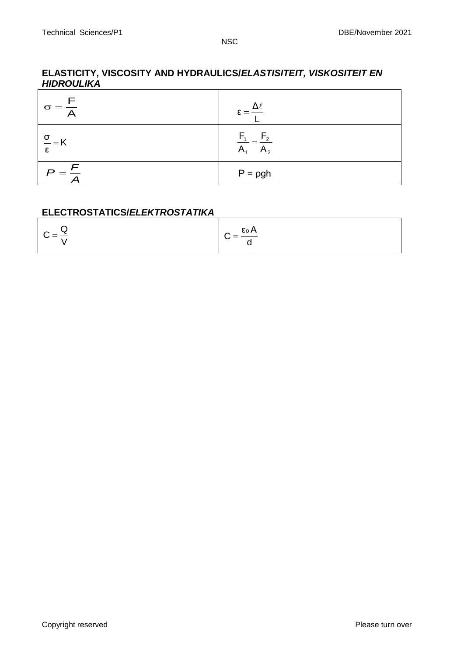### **ELASTICITY, VISCOSITY AND HYDRAULICS/***ELASTISITEIT, VISKOSITEIT EN HIDROULIKA*

| $\sigma = \frac{1}{\sqrt{2}}$    | $=$ 3                |
|----------------------------------|----------------------|
| $\frac{\sigma}{\sigma}$ = K<br>۶ | A,<br>$\mathsf{m}_2$ |
| $\overline{E}$<br>$=$            | $P = \rho gh$        |

### **ELECTROSTATICS/***ELEKTROSTATIKA*

| $C = \frac{Q}{R}$ | $C = \frac{\epsilon_0 A}{I}$ |
|-------------------|------------------------------|
|                   |                              |